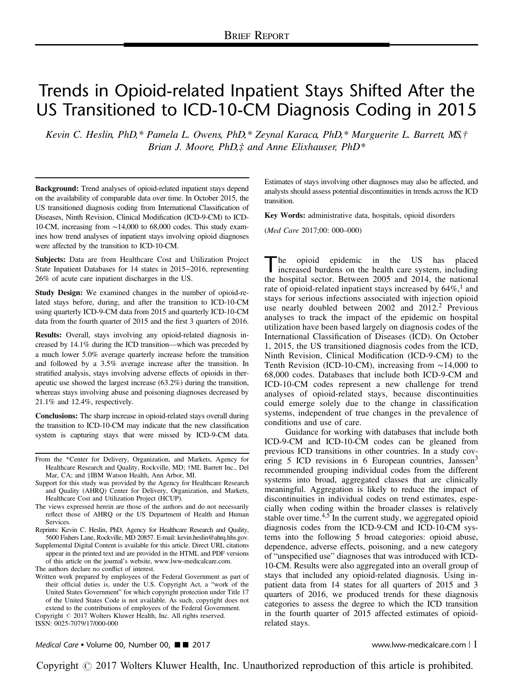# Trends in Opioid-related Inpatient Stays Shifted After the US Transitioned to ICD-10-CM Diagnosis Coding in 2015

Kevin C. Heslin, PhD,\* Pamela L. Owens, PhD,\* Zeynal Karaca, PhD,\* Marguerite L. Barrett, MS,† Brian J. Moore,  $PhD$ , $\ddagger$  and Anne Elixhauser,  $PhD^*$ 

Background: Trend analyses of opioid-related inpatient stays depend on the availability of comparable data over time. In October 2015, the US transitioned diagnosis coding from International Classification of Diseases, Ninth Revision, Clinical Modification (ICD-9-CM) to ICD-10-CM, increasing from ∼14,000 to 68,000 codes. This study examines how trend analyses of inpatient stays involving opioid diagnoses were affected by the transition to ICD-10-CM.

Subjects: Data are from Healthcare Cost and Utilization Project State Inpatient Databases for 14 states in 2015−2016, representing 26% of acute care inpatient discharges in the US.

Study Design: We examined changes in the number of opioid-related stays before, during, and after the transition to ICD-10-CM using quarterly ICD-9-CM data from 2015 and quarterly ICD-10-CM data from the fourth quarter of 2015 and the first 3 quarters of 2016.

Results: Overall, stays involving any opioid-related diagnosis increased by 14.1% during the ICD transition—which was preceded by a much lower 5.0% average quarterly increase before the transition and followed by a 3.5% average increase after the transition. In stratified analysis, stays involving adverse effects of opioids in therapeutic use showed the largest increase (63.2%) during the transition, whereas stays involving abuse and poisoning diagnoses decreased by 21.1% and 12.4%, respectively.

Conclusions: The sharp increase in opioid-related stays overall during the transition to ICD-10-CM may indicate that the new classification system is capturing stays that were missed by ICD-9-CM data.

From the \*Center for Delivery, Organization, and Markets, Agency for Healthcare Research and Quality, Rockville, MD; †ML Barrett Inc., Del Mar, CA; and ‡IBM Watson Health, Ann Arbor, MI.

- Support for this study was provided by the Agency for Healthcare Research and Quality (AHRQ) Center for Delivery, Organization, and Markets, Healthcare Cost and Utilization Project (HCUP).
- The views expressed herein are those of the authors and do not necessarily reflect those of AHRQ or the US Department of Health and Human Services.
- Reprints: Kevin C. Heslin, PhD, Agency for Healthcare Research and Quality, 5600 Fishers Lane, Rockville, MD 20857. E-mail: kevin.heslin@ahrq.hhs.gov.
- Supplemental Digital Content is available for this article. Direct URL citations appear in the printed text and are provided in the HTML and PDF versions of this article on the journal's website, [www.lww-medicalcare.com.](http://www.lww-medicalcare.com)

The authors declare no conflict of interest.

Written work prepared by employees of the Federal Government as part of their official duties is, under the U.S. Copyright Act, a "work of the United States Government" for which copyright protection under Title 17 of the United States Code is not available. As such, copyright does not extend to the contributions of employees of the Federal Government. Copyright © 2017 Wolters Kluwer Health, Inc. All rights reserved.

ISSN: 0025-7079/17/000-000

Estimates of stays involving other diagnoses may also be affected, and analysts should assess potential discontinuities in trends across the ICD transition.

Key Words: administrative data, hospitals, opioid disorders

(Med Care 2017;00: 000–000)

The opioid epidemic in the US has placed<br>increased burdens on the health care system, including<br>the health care 2005 and 2014 the problems the hospital sector. Between 2005 and 2014, the national rate of opioid-related inpatient stays increased by  $64\%$ ,<sup>[1](#page-5-0)</sup> and stays for serious infections associated with injection opioid use nearly doubled between  $2002$  $2002$  and  $2012<sup>2</sup>$  Previous analyses to track the impact of the epidemic on hospital utilization have been based largely on diagnosis codes of the International Classification of Diseases (ICD). On October 1, 2015, the US transitioned diagnosis codes from the ICD, Ninth Revision, Clinical Modification (ICD-9-CM) to the Tenth Revision (ICD-10-CM), increasing from ∼14,000 to 68,000 codes. Databases that include both ICD-9-CM and ICD-10-CM codes represent a new challenge for trend analyses of opioid-related stays, because discontinuities could emerge solely due to the change in classification systems, independent of true changes in the prevalence of conditions and use of care.

Guidance for working with databases that include both ICD-9-CM and ICD-10-CM codes can be gleaned from previous ICD transitions in other countries. In a study cov-ering 5 ICD revisions in 6 European countries, Janssen<sup>[3](#page-5-0)</sup> recommended grouping individual codes from the different systems into broad, aggregated classes that are clinically meaningful. Aggregation is likely to reduce the impact of discontinuities in individual codes on trend estimates, especially when coding within the broader classes is relatively stable over time. $4.5$  In the current study, we aggregated opioid diagnosis codes from the ICD-9-CM and ICD-10-CM systems into the following 5 broad categories: opioid abuse, dependence, adverse effects, poisoning, and a new category of "unspecified use" diagnoses that was introduced with ICD-10-CM. Results were also aggregated into an overall group of stays that included any opioid-related diagnosis. Using inpatient data from 14 states for all quarters of 2015 and 3 quarters of 2016, we produced trends for these diagnosis categories to assess the degree to which the ICD transition in the fourth quarter of 2015 affected estimates of opioidrelated stays.

Medical Care • Volume 00, Number 00,  $\blacksquare$  2017 www.lww-medicalcare.com | 1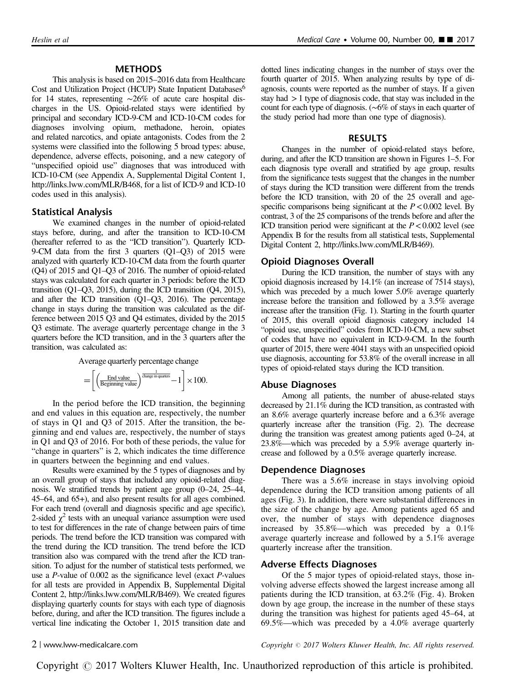# METHODS

This analysis is based on 2015–2016 data from Healthcare Cost and Utilization Project (HCUP) State Inpatient Databases<sup>6</sup> for 14 states, representing ∼26% of acute care hospital discharges in the US. Opioid-related stays were identified by principal and secondary ICD-9-CM and ICD-10-CM codes for diagnoses involving opium, methadone, heroin, opiates and related narcotics, and opiate antagonists. Codes from the 2 systems were classified into the following 5 broad types: abuse, dependence, adverse effects, poisoning, and a new category of "unspecified opioid use" diagnoses that was introduced with ICD-10-CM (see Appendix A, Supplemental Digital Content 1, <http://links.lww.com/MLR/B468>, for a list of ICD-9 and ICD-10 codes used in this analysis).

## Statistical Analysis

We examined changes in the number of opioid-related stays before, during, and after the transition to ICD-10-CM (hereafter referred to as the "ICD transition"). Quarterly ICD-9-CM data from the first 3 quarters (Q1–Q3) of 2015 were analyzed with quarterly ICD-10-CM data from the fourth quarter (Q4) of 2015 and Q1–Q3 of 2016. The number of opioid-related stays was calculated for each quarter in 3 periods: before the ICD transition (Q1–Q3, 2015), during the ICD transition (Q4, 2015), and after the ICD transition (Q1–Q3, 2016). The percentage change in stays during the transition was calculated as the difference between 2015 Q3 and Q4 estimates, divided by the 2015 Q3 estimate. The average quarterly percentage change in the 3 quarters before the ICD transition, and in the 3 quarters after the transition, was calculated as:

Average quarterly percentage change

$$
= \left\lceil \left(\frac{\text{End value}}{\text{Beginning value}}\right)^{\frac{1}{\text{change in quarters}}} - 1 \right\rceil \times 100.
$$

In the period before the ICD transition, the beginning and end values in this equation are, respectively, the number of stays in Q1 and Q3 of 2015. After the transition, the beginning and end values are, respectively, the number of stays in Q1 and Q3 of 2016. For both of these periods, the value for "change in quarters" is 2, which indicates the time difference in quarters between the beginning and end values.

Results were examined by the 5 types of diagnoses and by an overall group of stays that included any opioid-related diagnosis. We stratified trends by patient age group (0–24, 25–44, 45–64, and 65+), and also present results for all ages combined. For each trend (overall and diagnosis specific and age specific), 2-sided  $\chi^2$  tests with an unequal variance assumption were used to test for differences in the rate of change between pairs of time periods. The trend before the ICD transition was compared with the trend during the ICD transition. The trend before the ICD transition also was compared with the trend after the ICD transition. To adjust for the number of statistical tests performed, we use a P-value of 0.002 as the significance level (exact P-values for all tests are provided in Appendix B, Supplemental Digital Content 2, [http://links.lww.com/MLR/B469\)](http://links.lww.com/MLR/B469). We created figures displaying quarterly counts for stays with each type of diagnosis before, during, and after the ICD transition. The figures include a vertical line indicating the October 1, 2015 transition date and dotted lines indicating changes in the number of stays over the fourth quarter of 2015. When analyzing results by type of diagnosis, counts were reported as the number of stays. If a given stay had >1 type of diagnosis code, that stay was included in the count for each type of diagnosis. (∼6% of stays in each quarter of the study period had more than one type of diagnosis).

#### RESULTS

Changes in the number of opioid-related stays before, during, and after the ICD transition are shown in Figures 1–5. For each diagnosis type overall and stratified by age group, results from the significance tests suggest that the changes in the number of stays during the ICD transition were different from the trends before the ICD transition, with 20 of the 25 overall and agespecific comparisons being significant at the  $P < 0.002$  level. By contrast, 3 of the 25 comparisons of the trends before and after the ICD transition period were significant at the  $P < 0.002$  level (see Appendix B for the results from all statistical tests, Supplemental Digital Content 2, [http://links.lww.com/MLR/B469\)](http://links.lww.com/MLR/B469).

# Opioid Diagnoses Overall

During the ICD transition, the number of stays with any opioid diagnosis increased by 14.1% (an increase of 7514 stays), which was preceded by a much lower 5.0% average quarterly increase before the transition and followed by a 3.5% average increase after the transition [\(Fig.](#page-2-0) 1). Starting in the fourth quarter of 2015, this overall opioid diagnosis category included 14 "opioid use, unspecified" codes from ICD-10-CM, a new subset of codes that have no equivalent in ICD-9-CM. In the fourth quarter of 2015, there were 4041 stays with an unspecified opioid use diagnosis, accounting for 53.8% of the overall increase in all types of opioid-related stays during the ICD transition.

# Abuse Diagnoses

Among all patients, the number of abuse-related stays decreased by 21.1% during the ICD transition, as contrasted with an 8.6% average quarterly increase before and a 6.3% average quarterly increase after the transition [\(Fig. 2](#page-2-0)). The decrease during the transition was greatest among patients aged 0–24, at 23.8%—which was preceded by a 5.9% average quarterly increase and followed by a 0.5% average quarterly increase.

#### Dependence Diagnoses

There was a 5.6% increase in stays involving opioid dependence during the ICD transition among patients of all ages ([Fig. 3\)](#page-3-0). In addition, there were substantial differences in the size of the change by age. Among patients aged 65 and over, the number of stays with dependence diagnoses increased by 35.8%—which was preceded by a 0.1% average quarterly increase and followed by a 5.1% average quarterly increase after the transition.

# Adverse Effects Diagnoses

Of the 5 major types of opioid-related stays, those involving adverse effects showed the largest increase among all patients during the ICD transition, at 63.2% ([Fig. 4](#page-3-0)). Broken down by age group, the increase in the number of these stays during the transition was highest for patients aged 45–64, at 69.5%—which was preceded by a 4.0% average quarterly

2 | www.lww-medicalcare.com Copyright <sup>r</sup> 2017 Wolters Kluwer Health, Inc. All rights reserved.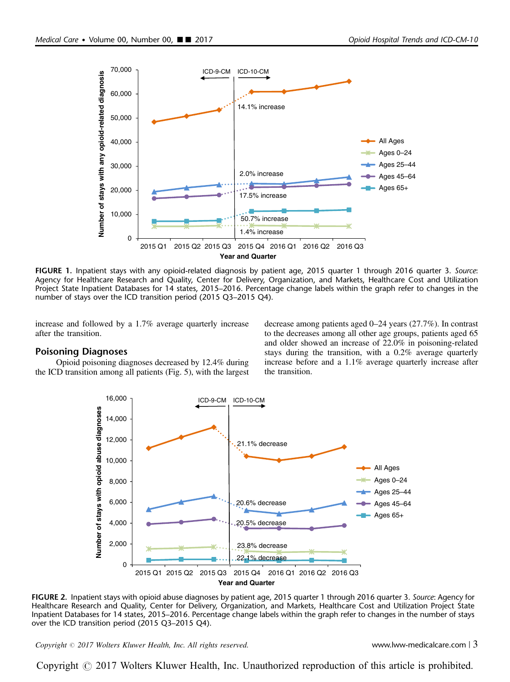<span id="page-2-0"></span>

FIGURE 1. Inpatient stays with any opioid-related diagnosis by patient age, 2015 quarter 1 through 2016 quarter 3. Source: Agency for Healthcare Research and Quality, Center for Delivery, Organization, and Markets, Healthcare Cost and Utilization Project State Inpatient Databases for 14 states, 2015–2016. Percentage change labels within the graph refer to changes in the number of stays over the ICD transition period (2015 Q3–2015 Q4).

increase and followed by a 1.7% average quarterly increase after the transition.

# Poisoning Diagnoses

Opioid poisoning diagnoses decreased by 12.4% during the ICD transition among all patients [\(Fig. 5](#page-4-0)), with the largest

decrease among patients aged 0–24 years (27.7%). In contrast to the decreases among all other age groups, patients aged 65 and older showed an increase of 22.0% in poisoning-related stays during the transition, with a 0.2% average quarterly increase before and a 1.1% average quarterly increase after the transition.



FIGURE 2. Inpatient stays with opioid abuse diagnoses by patient age, 2015 quarter 1 through 2016 quarter 3. Source: Agency for Healthcare Research and Quality, Center for Delivery, Organization, and Markets, Healthcare Cost and Utilization Project State Inpatient Databases for 14 states, 2015–2016. Percentage change labels within the graph refer to changes in the number of stays over the ICD transition period (2015 Q3–2015 Q4).

Copyright © 2017 Wolters Kluwer Health, Inc. All rights reserved. www.lww-medicalcare.com | 3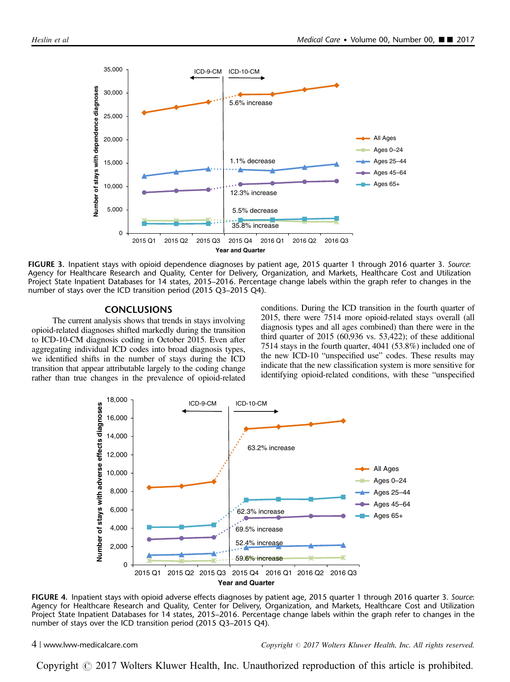<span id="page-3-0"></span>

FIGURE 3. Inpatient stays with opioid dependence diagnoses by patient age, 2015 quarter 1 through 2016 quarter 3. Source: Agency for Healthcare Research and Quality, Center for Delivery, Organization, and Markets, Healthcare Cost and Utilization Project State Inpatient Databases for 14 states, 2015–2016. Percentage change labels within the graph refer to changes in the number of stays over the ICD transition period (2015 Q3–2015 Q4).

## **CONCLUSIONS**

The current analysis shows that trends in stays involving opioid-related diagnoses shifted markedly during the transition to ICD-10-CM diagnosis coding in October 2015. Even after aggregating individual ICD codes into broad diagnosis types, we identified shifts in the number of stays during the ICD transition that appear attributable largely to the coding change rather than true changes in the prevalence of opioid-related conditions. During the ICD transition in the fourth quarter of 2015, there were 7514 more opioid-related stays overall (all diagnosis types and all ages combined) than there were in the third quarter of 2015 (60,936 vs. 53,422); of these additional 7514 stays in the fourth quarter, 4041 (53.8%) included one of the new ICD-10 "unspecified use" codes. These results may indicate that the new classification system is more sensitive for identifying opioid-related conditions, with these "unspecified



FIGURE 4. Inpatient stays with opioid adverse effects diagnoses by patient age, 2015 quarter 1 through 2016 quarter 3. Source: Agency for Healthcare Research and Quality, Center for Delivery, Organization, and Markets, Healthcare Cost and Utilization Project State Inpatient Databases for 14 states, 2015–2016. Percentage change labels within the graph refer to changes in the number of stays over the ICD transition period (2015 Q3–2015 Q4).

4 | www.lww-medicalcare.com Copyright  $\odot$  2017 Wolters Kluwer Health, Inc. All rights reserved.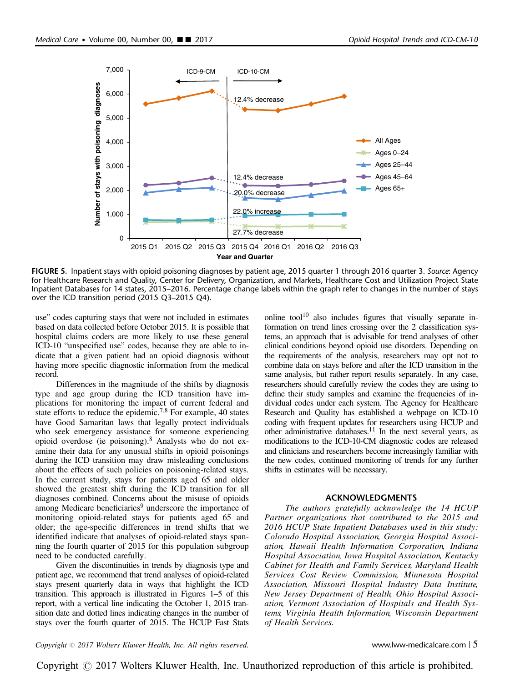<span id="page-4-0"></span>

FIGURE 5. Inpatient stays with opioid poisoning diagnoses by patient age, 2015 quarter 1 through 2016 quarter 3. Source: Agency for Healthcare Research and Quality, Center for Delivery, Organization, and Markets, Healthcare Cost and Utilization Project State Inpatient Databases for 14 states, 2015–2016. Percentage change labels within the graph refer to changes in the number of stays over the ICD transition period (2015 Q3–2015 Q4).

use" codes capturing stays that were not included in estimates based on data collected before October 2015. It is possible that hospital claims coders are more likely to use these general ICD-10 "unspecified use" codes, because they are able to indicate that a given patient had an opioid diagnosis without having more specific diagnostic information from the medical record.

Differences in the magnitude of the shifts by diagnosis type and age group during the ICD transition have implications for monitoring the impact of current federal and state efforts to reduce the epidemic.<sup>7,8</sup> For example, 40 states have Good Samaritan laws that legally protect individuals who seek emergency assistance for someone experiencing opioid overdose (ie poisoning).[8](#page-5-0) Analysts who do not examine their data for any unusual shifts in opioid poisonings during the ICD transition may draw misleading conclusions about the effects of such policies on poisoning-related stays. In the current study, stays for patients aged 65 and older showed the greatest shift during the ICD transition for all diagnoses combined. Concerns about the misuse of opioids among Medicare beneficiaries<sup>[9](#page-5-0)</sup> underscore the importance of monitoring opioid-related stays for patients aged 65 and older; the age-specific differences in trend shifts that we identified indicate that analyses of opioid-related stays spanning the fourth quarter of 2015 for this population subgroup need to be conducted carefully.

Given the discontinuities in trends by diagnosis type and patient age, we recommend that trend analyses of opioid-related stays present quarterly data in ways that highlight the ICD transition. This approach is illustrated in Figures 1–5 of this report, with a vertical line indicating the October 1, 2015 transition date and dotted lines indicating changes in the number of stays over the fourth quarter of 2015. The HCUP Fast Stats online tool $10$  also includes figures that visually separate information on trend lines crossing over the 2 classification systems, an approach that is advisable for trend analyses of other clinical conditions beyond opioid use disorders. Depending on the requirements of the analysis, researchers may opt not to combine data on stays before and after the ICD transition in the same analysis, but rather report results separately. In any case, researchers should carefully review the codes they are using to define their study samples and examine the frequencies of individual codes under each system. The Agency for Healthcare Research and Quality has established a webpage on ICD-10 coding with frequent updates for researchers using HCUP and other administrative databases. $11$  In the next several years, as modifications to the ICD-10-CM diagnostic codes are released and clinicians and researchers become increasingly familiar with the new codes, continued monitoring of trends for any further shifts in estimates will be necessary.

#### ACKNOWLEDGMENTS

The authors gratefully acknowledge the 14 HCUP Partner organizations that contributed to the 2015 and 2016 HCUP State Inpatient Databases used in this study: Colorado Hospital Association, Georgia Hospital Association, Hawaii Health Information Corporation, Indiana Hospital Association, Iowa Hospital Association, Kentucky Cabinet for Health and Family Services, Maryland Health Services Cost Review Commission, Minnesota Hospital Association, Missouri Hospital Industry Data Institute, New Jersey Department of Health, Ohio Hospital Association, Vermont Association of Hospitals and Health Systems, Virginia Health Information, Wisconsin Department of Health Services.

 $Copyright © 2017 Wolters Kluwer Health, Inc. All rights reserved.$   $\bullet$  must be a served. www.lww-medicalcare.com  $\vert$  5